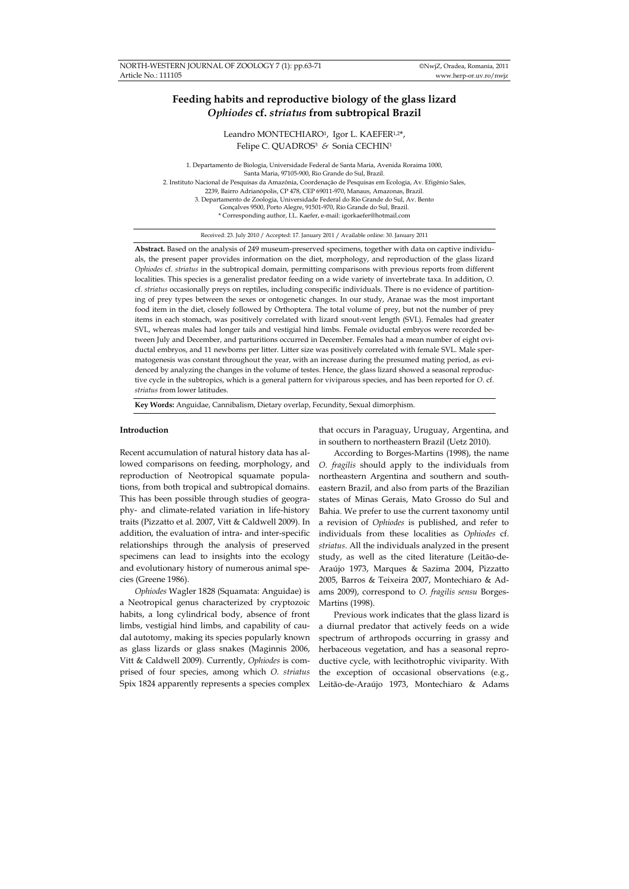# **Feeding habits and reproductive biology of the glass lizard**  *Ophiodes* **cf.** *striatus* **from subtropical Brazil**

Leandro MONTECHIARO<sup>1</sup>, Igor L. KAEFER<sup>1,2\*</sup>, Felipe C. OUADROS<sup>3</sup> & Sonia CECHIN<sup>1</sup>

1. Departamento de Biologia, Universidade Federal de Santa Maria, Avenida Roraima 1000, Santa Maria, 97105-900, Rio Grande do Sul, Brazil. 2. Instituto Nacional de Pesquisas da Amazônia, Coordenação de Pesquisas em Ecologia, Av. Efigênio Sales, 2239, Bairro Adrianópolis, CP 478, CEP 69011-970, Manaus, Amazonas, Brazil. 3. Departamento de Zoologia, Universidade Federal do Rio Grande do Sul, Av. Bento Gonçalves 9500, Porto Alegre, 91501-970, Rio Grande do Sul, Brazil. \* Corresponding author, I.L. Kaefer, e-mail: igorkaefer@hotmail.com

Received: 23. July 2010 / Accepted: 17. January 2011 / Available online: 30. January 2011

**Abstract.** Based on the analysis of 249 museum-preserved specimens, together with data on captive individuals, the present paper provides information on the diet, morphology, and reproduction of the glass lizard *Ophiodes* cf. *striatus* in the subtropical domain, permitting comparisons with previous reports from different localities. This species is a generalist predator feeding on a wide variety of invertebrate taxa. In addition, *O.*  cf. *striatus* occasionally preys on reptiles, including conspecific individuals. There is no evidence of partitioning of prey types between the sexes or ontogenetic changes. In our study, Aranae was the most important food item in the diet, closely followed by Orthoptera. The total volume of prey, but not the number of prey items in each stomach, was positively correlated with lizard snout-vent length (SVL). Females had greater SVL, whereas males had longer tails and vestigial hind limbs. Female oviductal embryos were recorded between July and December, and parturitions occurred in December. Females had a mean number of eight oviductal embryos, and 11 newborns per litter. Litter size was positively correlated with female SVL. Male spermatogenesis was constant throughout the year, with an increase during the presumed mating period, as evidenced by analyzing the changes in the volume of testes. Hence, the glass lizard showed a seasonal reproductive cycle in the subtropics, which is a general pattern for viviparous species, and has been reported for *O.* cf. *striatus* from lower latitudes.

**Key Words:** Anguidae, Cannibalism, Dietary overlap, Fecundity, Sexual dimorphism.

### **Introduction**

Recent accumulation of natural history data has allowed comparisons on feeding, morphology, and reproduction of Neotropical squamate populations, from both tropical and subtropical domains. This has been possible through studies of geography- and climate-related variation in life-history traits (Pizzatto et al. 2007, Vitt & Caldwell 2009). In addition, the evaluation of intra- and inter-specific relationships through the analysis of preserved specimens can lead to insights into the ecology and evolutionary history of numerous animal species (Greene 1986).

*Ophiodes* Wagler 1828 (Squamata: Anguidae) is a Neotropical genus characterized by cryptozoic habits, a long cylindrical body, absence of front limbs, vestigial hind limbs, and capability of caudal autotomy, making its species popularly known as glass lizards or glass snakes (Maginnis 2006, Vitt & Caldwell 2009). Currently, *Ophiodes* is comprised of four species, among which *O. striatus*  Spix 1824 apparently represents a species complex that occurs in Paraguay, Uruguay, Argentina, and in southern to northeastern Brazil (Uetz 2010).

According to Borges-Martins (1998), the name *O. fragilis* should apply to the individuals from northeastern Argentina and southern and southeastern Brazil, and also from parts of the Brazilian states of Minas Gerais, Mato Grosso do Sul and Bahia. We prefer to use the current taxonomy until a revision of *Ophiodes* is published, and refer to individuals from these localities as *Ophiodes* cf. *striatus*. All the individuals analyzed in the present study, as well as the cited literature (Leitão-de-Araújo 1973, Marques & Sazima 2004, Pizzatto 2005, Barros & Teixeira 2007, Montechiaro & Adams 2009), correspond to *O. fragilis sensu* Borges-Martins (1998).

Previous work indicates that the glass lizard is a diurnal predator that actively feeds on a wide spectrum of arthropods occurring in grassy and herbaceous vegetation, and has a seasonal reproductive cycle, with lecithotrophic viviparity. With the exception of occasional observations (e.g., Leitão-de-Araújo 1973, Montechiaro & Adams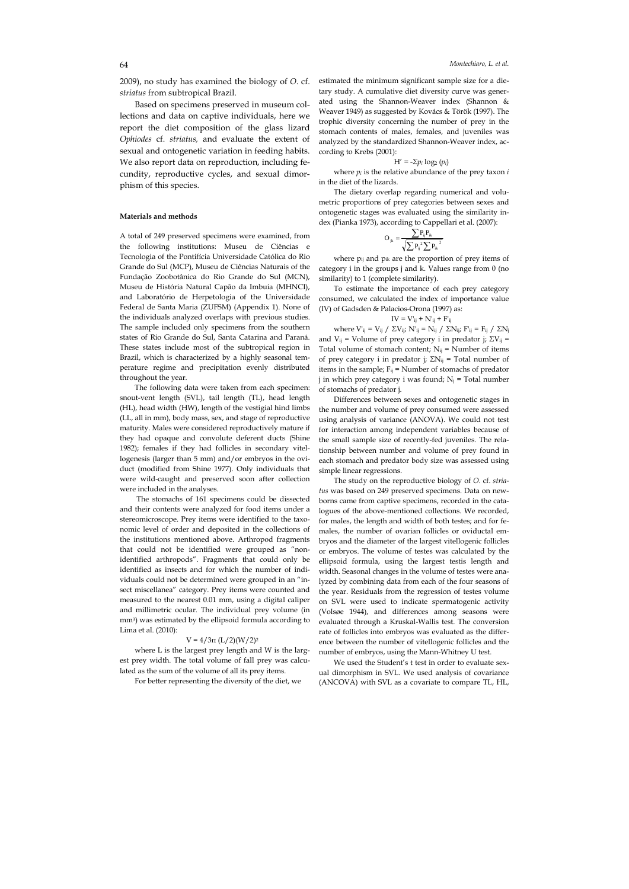2009), no study has examined the biology of *O.* cf. *striatus* from subtropical Brazil.

Based on specimens preserved in museum collections and data on captive individuals, here we report the diet composition of the glass lizard *Ophiodes* cf. *striatus,* and evaluate the extent of sexual and ontogenetic variation in feeding habits. We also report data on reproduction, including fecundity, reproductive cycles, and sexual dimorphism of this species.

### **Materials and methods**

A total of 249 preserved specimens were examined, from the following institutions: Museu de Ciências e Tecnologia of the Pontifícia Universidade Católica do Rio Grande do Sul (MCP), Museu de Ciências Naturais of the Fundação Zoobotânica do Rio Grande do Sul (MCN), Museu de História Natural Capão da Imbuia (MHNCI), and Laboratório de Herpetologia of the Universidade Federal de Santa Maria (ZUFSM) (Appendix 1). None of the individuals analyzed overlaps with previous studies. The sample included only specimens from the southern states of Rio Grande do Sul, Santa Catarina and Paraná. These states include most of the subtropical region in Brazil, which is characterized by a highly seasonal temperature regime and precipitation evenly distributed throughout the year.

The following data were taken from each specimen: snout-vent length (SVL), tail length (TL), head length (HL), head width (HW), length of the vestigial hind limbs (LL, all in mm), body mass, sex, and stage of reproductive maturity. Males were considered reproductively mature if they had opaque and convolute deferent ducts (Shine 1982); females if they had follicles in secondary vitellogenesis (larger than 5 mm) and/or embryos in the oviduct (modified from Shine 1977). Only individuals that were wild-caught and preserved soon after collection were included in the analyses.

 The stomachs of 161 specimens could be dissected and their contents were analyzed for food items under a stereomicroscope. Prey items were identified to the taxonomic level of order and deposited in the collections of the institutions mentioned above. Arthropod fragments that could not be identified were grouped as "nonidentified arthropods". Fragments that could only be identified as insects and for which the number of individuals could not be determined were grouped in an "insect miscellanea" category. Prey items were counted and measured to the nearest 0.01 mm, using a digital caliper and millimetric ocular. The individual prey volume (in mm3) was estimated by the ellipsoid formula according to Lima et al. (2010):

# $V = 4/3π (L/2)(W/2)<sup>2</sup>$

where L is the largest prey length and W is the largest prey width. The total volume of fall prey was calculated as the sum of the volume of all its prey items.

For better representing the diversity of the diet, we

estimated the minimum significant sample size for a dietary study. A cumulative diet diversity curve was generated using the Shannon-Weaver index (Shannon & Weaver 1949) as suggested by Kovács & Török (1997). The trophic diversity concerning the number of prey in the stomach contents of males, females, and juveniles was analyzed by the standardized Shannon-Weaver index, according to Krebs (2001):

$$
H' = -\Sigma p_i \log_2 (p_i)
$$

where *pi* is the relative abundance of the prey taxon *i* in the diet of the lizards.

The dietary overlap regarding numerical and volumetric proportions of prey categories between sexes and ontogenetic stages was evaluated using the similarity index (Pianka 1973), according to Cappellari et al. (2007):

$$
\mathbf{O}_{jk} = \frac{\sum P_{ij}P_{ik}}{\sqrt{\sum {P_{ij}}^2\sum {P_{ik}}^2}}
$$

where  $p_{ij}$  and  $p_{ik}$  are the proportion of prey items of category i in the groups j and k. Values range from 0 (no similarity) to 1 (complete similarity).

To estimate the importance of each prey category consumed, we calculated the index of importance value (IV) of Gadsden & Palacios-Orona (1997) as:

$$
IV = V^{\scriptscriptstyle \text{!`}}{}_{ij} + N^{\scriptscriptstyle \text{!`}}{}_{ij} + F^{\scriptscriptstyle \text{!`}}{}_{ij}
$$

where  $V'_{ij} = V_{ij} / \Sigma V_{ij}$ ;  $N'_{ij} = N_{ij} / \Sigma N_{ij}$ ;  $F'_{ij} = F_{ij} / \Sigma N_{ij}$ and V<sub>ij</sub> = Volume of prey category i in predator j;  $\Sigma V_{ij}$  = Total volume of stomach content;  $N_{ij}$  = Number of items of prey category i in predator j;  $\Sigma N_{ij}$  = Total number of items in the sample;  $F_{ij}$  = Number of stomachs of predator j in which prey category i was found;  $N_i$  = Total number of stomachs of predator j.

Differences between sexes and ontogenetic stages in the number and volume of prey consumed were assessed using analysis of variance (ANOVA). We could not test for interaction among independent variables because of the small sample size of recently-fed juveniles. The relationship between number and volume of prey found in each stomach and predator body size was assessed using simple linear regressions.

The study on the reproductive biology of *O.* cf. *striatus* was based on 249 preserved specimens. Data on newborns came from captive specimens, recorded in the catalogues of the above-mentioned collections. We recorded, for males, the length and width of both testes; and for females, the number of ovarian follicles or oviductal embryos and the diameter of the largest vitellogenic follicles or embryos. The volume of testes was calculated by the ellipsoid formula, using the largest testis length and width. Seasonal changes in the volume of testes were analyzed by combining data from each of the four seasons of the year. Residuals from the regression of testes volume on SVL were used to indicate spermatogenic activity (Volsøe 1944), and differences among seasons were evaluated through a Kruskal-Wallis test. The conversion rate of follicles into embryos was evaluated as the difference between the number of vitellogenic follicles and the number of embryos, using the Mann-Whitney U test.

We used the Student's t test in order to evaluate sexual dimorphism in SVL. We used analysis of covariance (ANCOVA) with SVL as a covariate to compare TL, HL,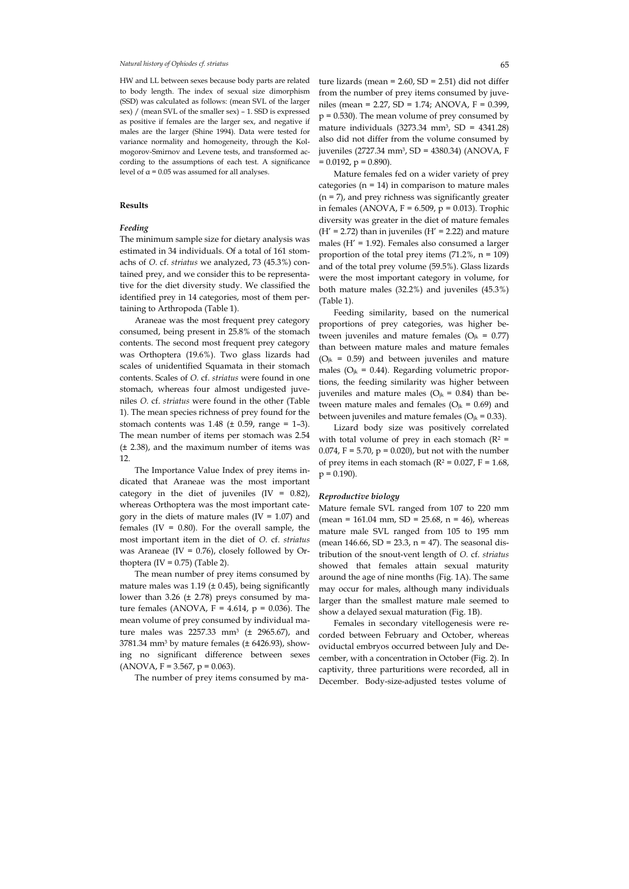HW and LL between sexes because body parts are related to body length. The index of sexual size dimorphism (SSD) was calculated as follows: (mean SVL of the larger sex) / (mean SVL of the smaller sex) – 1. SSD is expressed as positive if females are the larger sex, and negative if males are the larger (Shine 1994). Data were tested for variance normality and homogeneity, through the Kolmogorov-Smirnov and Levene tests, and transformed according to the assumptions of each test. A significance level of  $\alpha$  = 0.05 was assumed for all analyses.

# **Results**

# *Feeding*

The minimum sample size for dietary analysis was estimated in 34 individuals. Of a total of 161 stomachs of *O.* cf. *striatus* we analyzed, 73 (45.3%) contained prey, and we consider this to be representative for the diet diversity study. We classified the identified prey in 14 categories, most of them pertaining to Arthropoda (Table 1).

Araneae was the most frequent prey category consumed, being present in 25.8% of the stomach contents. The second most frequent prey category was Orthoptera (19.6%). Two glass lizards had scales of unidentified Squamata in their stomach contents. Scales of *O.* cf. *striatus* were found in one stomach, whereas four almost undigested juveniles *O.* cf. *striatus* were found in the other (Table 1). The mean species richness of prey found for the stomach contents was  $1.48$  ( $\pm$  0.59, range = 1-3). The mean number of items per stomach was 2.54 (± 2.38), and the maximum number of items was 12.

The Importance Value Index of prey items indicated that Araneae was the most important category in the diet of juveniles  $(IV = 0.82)$ , whereas Orthoptera was the most important category in the diets of mature males ( $IV = 1.07$ ) and females (IV =  $0.80$ ). For the overall sample, the most important item in the diet of *O.* cf. *striatus* was Araneae (IV =  $0.76$ ), closely followed by Orthoptera  $(IV = 0.75)$  (Table 2).

The mean number of prey items consumed by mature males was  $1.19$  ( $\pm$  0.45), being significantly lower than 3.26 ( $\pm$  2.78) preys consumed by mature females (ANOVA,  $F = 4.614$ ,  $p = 0.036$ ). The mean volume of prey consumed by individual mature males was 2257.33 mm<sup>3</sup> ( $\pm$  2965.67), and  $3781.34$  mm<sup>3</sup> by mature females ( $\pm$  6426.93), showing no significant difference between sexes  $(ANOVA, F = 3.567, p = 0.063).$ 

The number of prey items consumed by ma-

Mature females fed on a wider variety of prey categories ( $n = 14$ ) in comparison to mature males (n = 7), and prey richness was significantly greater in females (ANOVA,  $F = 6.509$ ,  $p = 0.013$ ). Trophic diversity was greater in the diet of mature females  $(H' = 2.72)$  than in juveniles  $(H' = 2.22)$  and mature males (H' = 1.92). Females also consumed a larger proportion of the total prey items  $(71.2\% , n = 109)$ and of the total prey volume (59.5%). Glass lizards were the most important category in volume, for both mature males (32.2%) and juveniles (45.3%) (Table 1).

Feeding similarity, based on the numerical proportions of prey categories, was higher between juveniles and mature females ( $O_{ik} = 0.77$ ) than between mature males and mature females  $(O_{ik} = 0.59)$  and between juveniles and mature males ( $O_{ik} = 0.44$ ). Regarding volumetric proportions, the feeding similarity was higher between juveniles and mature males ( $O_{ik} = 0.84$ ) than between mature males and females ( $O_{jk} = 0.69$ ) and between juveniles and mature females ( $O_{jk} = 0.33$ ).

Lizard body size was positively correlated with total volume of prey in each stomach ( $R^2$  = 0.074, F = 5.70,  $p = 0.020$ ), but not with the number of prey items in each stomach ( $R^2 = 0.027$ ,  $F = 1.68$ ,  $p = 0.190$ ).

#### *Reproductive biology*

Mature female SVL ranged from 107 to 220 mm (mean = 161.04 mm, SD = 25.68, n = 46), whereas mature male SVL ranged from 105 to 195 mm (mean  $146.66$ , SD = 23.3, n = 47). The seasonal distribution of the snout-vent length of *O.* cf. *striatus* showed that females attain sexual maturity around the age of nine months (Fig. 1A). The same may occur for males, although many individuals larger than the smallest mature male seemed to show a delayed sexual maturation (Fig. 1B).

Females in secondary vitellogenesis were recorded between February and October, whereas oviductal embryos occurred between July and December, with a concentration in October (Fig. 2). In captivity, three parturitions were recorded, all in December. Body-size-adjusted testes volume of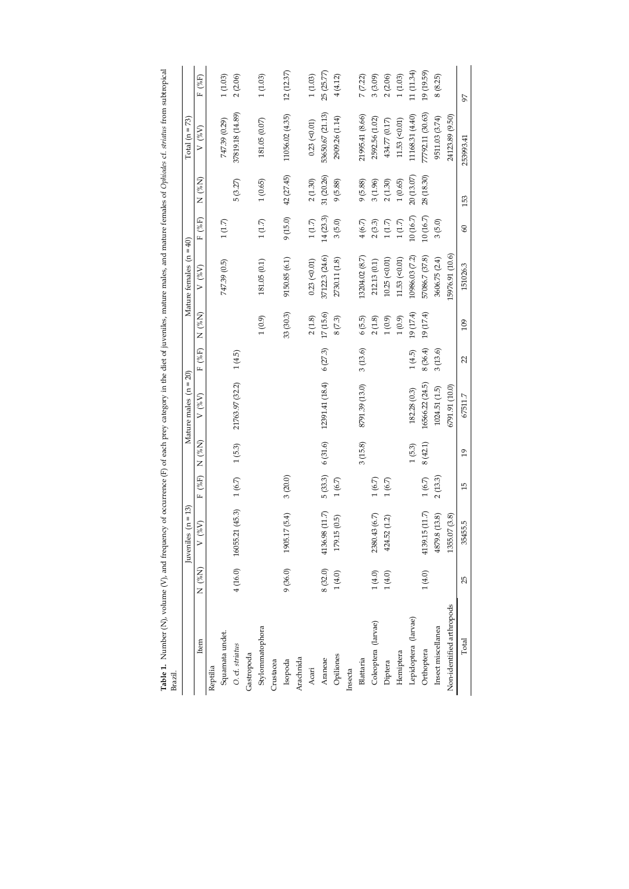| Table 1. Number (N), volume (V), and frequency of occurrence (F) of each prey category in the diet of juveniles, mature males, and mature females of Ophiodes cf. stridus from subtropical<br>Brazil. |                | $(n = 13)$<br>Juveniles      |            |           | Mature males $(n = 20)$ |         |               | Mature females $(n = 40)$ |              |                      | $Total (n = 73)$   |             |
|-------------------------------------------------------------------------------------------------------------------------------------------------------------------------------------------------------|----------------|------------------------------|------------|-----------|-------------------------|---------|---------------|---------------------------|--------------|----------------------|--------------------|-------------|
| Item                                                                                                                                                                                                  | (%N)<br>N<br>N | $N_{\phi}$<br>$\overline{ }$ | F(%F)      | (%N)<br>Z | $V$ (% $V$ )            | F(%F)   | $( \%N)$<br>Z | $V(^{\%}_{\&V})$          | (%F)<br>Ĺ.   | (%N)<br>Z            | $V$ (% $V$ )       | F(%F)       |
|                                                                                                                                                                                                       |                |                              |            |           |                         |         |               |                           |              |                      |                    |             |
| Reptilia                                                                                                                                                                                              |                |                              |            |           |                         |         |               |                           |              |                      |                    |             |
| Squamata undet.<br>O. cf. striatus                                                                                                                                                                    |                |                              |            |           |                         |         |               | 747.39 (0.5)              | 1(1.7)       |                      | 747.39 (0.29)      | 1(1.03)     |
|                                                                                                                                                                                                       |                | 4 (16.0) 16055.21 (45.3)     | $1(6.7)$   | $1(5.3)$  | 21763.97 (32.2)         | 1(4.5)  |               |                           |              | 5(3.27)              | 37819.18 (14.89)   | 2(2.06)     |
| Gastropoda                                                                                                                                                                                            |                |                              |            |           |                         |         |               |                           |              |                      |                    |             |
| Stylommatophora                                                                                                                                                                                       |                |                              |            |           |                         |         | 1(0.9)        | 181.05 (0.1)              | $1\,(1.7)$   | 1(0.65)              | 181.05 (0.07)      | $1\,(1.03)$ |
| Crustacea                                                                                                                                                                                             |                |                              |            |           |                         |         |               |                           |              |                      |                    |             |
| Isopoda                                                                                                                                                                                               | 9(36.0)        | 17(5.4)<br>1905.1            | 3(20.0)    |           |                         |         | 33 (30.3)     | 9150.85 (6.1)             | 9(15.0)      | 42 (27.45)           | 11056.02 (4.35)    | 12(12.37)   |
| Arachnida                                                                                                                                                                                             |                |                              |            |           |                         |         |               |                           |              |                      |                    |             |
| Acari                                                                                                                                                                                                 |                |                              |            |           |                         |         | 2(1.8)        | $0.23$ (< $0.01$ )        | $1\,(1.7)$   | $2\ (1.30)$          | $0.23$ (< $0.01$ ) | $1\,(1.03)$ |
| Araneae                                                                                                                                                                                               | 8 (32.0)       | 4136.98 (11.7)               | 5(33.3)    | 6(31.6)   | 12391.41 (18.4)         | 6(27.3) | 17(15.6)      | 37122.3 (24.6)            | 14(23.3)     | 31 (20.26)           | 53650.67 (21.13)   | 25 (25.77)  |
| Opiliones                                                                                                                                                                                             | $1(4.0)$       | (0.5)<br>179.15              | 1(6.7)     |           |                         |         | $8\,(7.3)$    | 2730.11 (1.8)             | 3(5.0)       | 9(5.88)              | 2909.26 (1.14)     | 4(4.12)     |
| Insecta                                                                                                                                                                                               |                |                              |            |           |                         |         |               |                           |              |                      |                    |             |
| Blattaria                                                                                                                                                                                             |                |                              |            | 3(15.8)   | 8791.39 (13.0)          | 3(13.6) | 6(5.5)        | 13204.02 (8.7)            | 4(6.7)       | 9(5.88)              | 21995.41 (8.66)    | 7(7.22)     |
| Coleoptera (larvae)                                                                                                                                                                                   | 1(4.0)         | 2380.43 (6.7)                | 1(6.7)     |           |                         |         | $2\ (1.8)$    | 212.13(0.1)               | $2(3.3)$     | 3(1.96)              | 2592.56 (1.02)     | 3(3.09)     |
| Diptera                                                                                                                                                                                               | 1(4.0)         | 424.52 (1.2)                 | $1(6.7)$   |           |                         |         | $1(0.9)$      | $10.25$ (< $0.01$ )       | $1\,(1.7)$   | $2\left(1.30\right)$ | 434.77 (0.17)      | 2(2.06)     |
| Hemiptera                                                                                                                                                                                             |                |                              |            |           |                         |         | $1(0.9)$      | $11.53$ (< $0.01$ )       | $1\,(1.7)$   | 1(0.65)              | 11.53 (< 0.01)     | 1(1.03)     |
| Lepidoptera (larvae)                                                                                                                                                                                  |                |                              |            | 1(5.3)    | 182.28 (0.3)            | 1(4.5)  | 19(17.4)      | 10986.03 (7.2)            | $10\ (16.7)$ | 20 (13.07)           | 11168.31 (4.40)    | 11 (11.34)  |
| Orthoptera                                                                                                                                                                                            | 1(4.0)         | 4139.15(11.7)                | $1\ (6.7)$ | 8(42.1)   | 16566.22 (24.5)         | 8(36.4) | 19(17.4)      | 57086.7 (37.8)            | $10\ (16.7)$ | 28 (18.30)           | 77792.11 (30.63)   | 19 (19.59)  |
| Insect miscellanea                                                                                                                                                                                    |                | (13.8)<br>4879.8             | 2(13.3)    |           | 1024.51 (1.5)           | 3(13.6) |               | 3606.75 (2.4)             | 3(5.0)       |                      | 9511.03 (3.74)     | 8(8.25)     |
| Non-identified arthropods                                                                                                                                                                             |                | 1355.07 (3.8)                |            |           | 6791.91 (10.0)          |         |               | 5976.91 (10.6)            |              |                      | 24123.89 (9.50)    |             |
| Total                                                                                                                                                                                                 | 25             | 35455.5                      | 15         | 19        | 67511.7                 | 22      | 109           | 151026.3                  | 60           | 153                  | 253993.41          | 97          |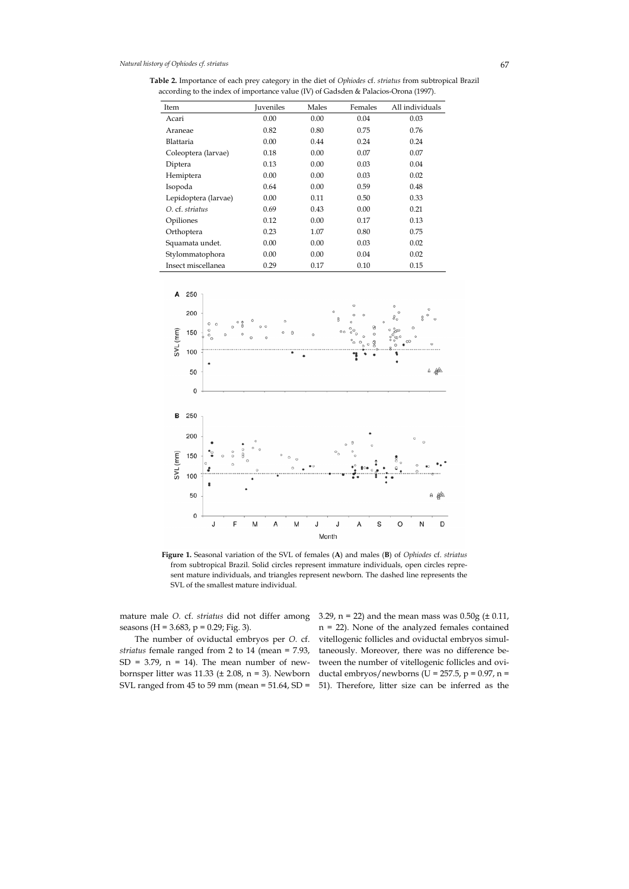**Table 2.** Importance of each prey category in the diet of *Ophiodes* cf. *striatus* from subtropical Brazil according to the index of importance value (IV) of Gadsden & Palacios-Orona (1997).

| Item                 | <b>Juveniles</b> | Males | Females | All individuals |
|----------------------|------------------|-------|---------|-----------------|
| Acari                | 0.00             | 0.00  | 0.04    | 0.03            |
| Araneae              | 0.82             | 0.80  | 0.75    | 0.76            |
| Blattaria            | 0.00             | 0.44  | 0.24    | 0.24            |
| Coleoptera (larvae)  | 0.18             | 0.00  | 0.07    | 0.07            |
| Diptera              | 0.13             | 0.00  | 0.03    | 0.04            |
| Hemiptera            | 0.00             | 0.00  | 0.03    | 0.02            |
| Isopoda              | 0.64             | 0.00  | 0.59    | 0.48            |
| Lepidoptera (larvae) | 0.00             | 0.11  | 0.50    | 0.33            |
| O. cf. striatus      | 0.69             | 0.43  | 0.00    | 0.21            |
| Opiliones            | 0.12             | 0.00  | 0.17    | 0.13            |
| Orthoptera           | 0.23             | 1.07  | 0.80    | 0.75            |
| Squamata undet.      | 0.00             | 0.00  | 0.03    | 0.02            |
| Stylommatophora      | 0.00             | 0.00  | 0.04    | 0.02            |
| Insect miscellanea   | 0.29             | 0.17  | 0.10    | 0.15            |



**Figure 1.** Seasonal variation of the SVL of females (**A**) and males (**B**) of *Ophiodes* cf. *striatus* from subtropical Brazil. Solid circles represent immature individuals, open circles represent mature individuals, and triangles represent newborn. The dashed line represents the SVL of the smallest mature individual.

mature male *O.* cf. *striatus* did not differ among seasons (H = 3.683, p = 0.29; Fig. 3).

The number of oviductal embryos per *O.* cf. *striatus* female ranged from 2 to 14 (mean = 7.93,  $SD = 3.79$ ,  $n = 14$ ). The mean number of newbornsper litter was 11.33 ( $\pm$  2.08, n = 3). Newborn SVL ranged from 45 to 59 mm (mean = 51.64, SD = 3.29,  $n = 22$ ) and the mean mass was 0.50g ( $\pm$  0.11, n = 22). None of the analyzed females contained vitellogenic follicles and oviductal embryos simultaneously. Moreover, there was no difference between the number of vitellogenic follicles and oviductal embryos/newborns (U = 257.5, p =  $0.97$ , n = 51). Therefore, litter size can be inferred as the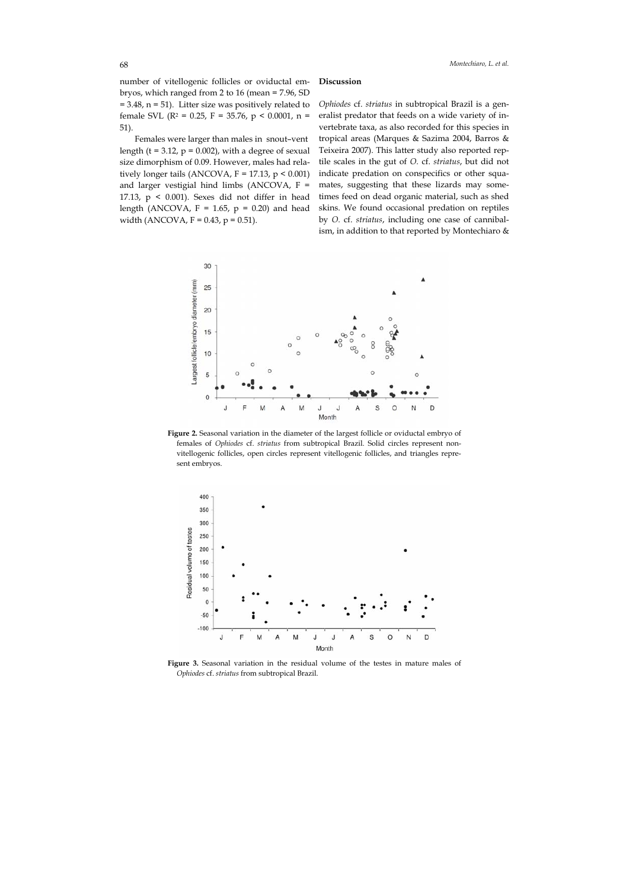number of vitellogenic follicles or oviductal embryos, which ranged from 2 to 16 (mean = 7.96, SD  $= 3.48$ , n  $= 51$ ). Litter size was positively related to female SVL ( $R^2$  = 0.25,  $F = 35.76$ ,  $p < 0.0001$ ,  $n =$ 51).

Females were larger than males in snout–vent length (t = 3.12,  $p = 0.002$ ), with a degree of sexual size dimorphism of 0.09. However, males had relatively longer tails (ANCOVA,  $F = 17.13$ ,  $p < 0.001$ ) and larger vestigial hind limbs (ANCOVA, F = 17.13,  $p \le 0.001$ ). Sexes did not differ in head length (ANCOVA,  $F = 1.65$ ,  $p = 0.20$ ) and head width (ANCOVA,  $F = 0.43$ ,  $p = 0.51$ ).

### **Discussion**

*Ophiodes* cf. *striatus* in subtropical Brazil is a generalist predator that feeds on a wide variety of invertebrate taxa, as also recorded for this species in tropical areas (Marques & Sazima 2004, Barros & Teixeira 2007). This latter study also reported reptile scales in the gut of *O.* cf. *striatus*, but did not indicate predation on conspecifics or other squamates, suggesting that these lizards may sometimes feed on dead organic material, such as shed skins. We found occasional predation on reptiles by *O.* cf. *striatus*, including one case of cannibalism, in addition to that reported by Montechiaro &



**Figure 2.** Seasonal variation in the diameter of the largest follicle or oviductal embryo of females of *Ophiodes* cf. *striatus* from subtropical Brazil. Solid circles represent nonvitellogenic follicles, open circles represent vitellogenic follicles, and triangles represent embryos.



**Figure 3.** Seasonal variation in the residual volume of the testes in mature males of *Ophiodes* cf. *striatus* from subtropical Brazil.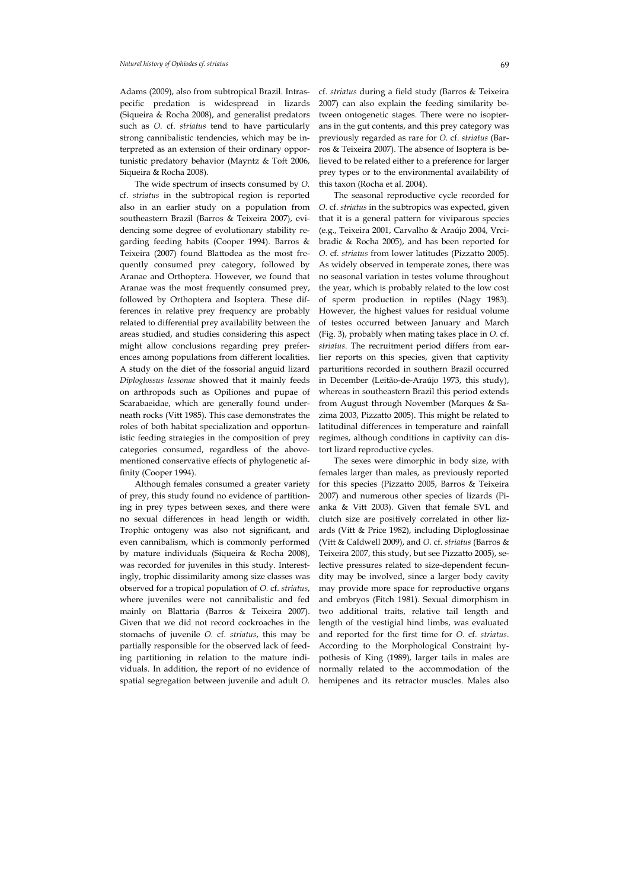Adams (2009), also from subtropical Brazil. Intraspecific predation is widespread in lizards (Siqueira & Rocha 2008), and generalist predators such as *O.* cf. *striatus* tend to have particularly strong cannibalistic tendencies, which may be interpreted as an extension of their ordinary opportunistic predatory behavior (Mayntz & Toft 2006, Siqueira & Rocha 2008).

The wide spectrum of insects consumed by *O.*  cf. *striatus* in the subtropical region is reported also in an earlier study on a population from southeastern Brazil (Barros & Teixeira 2007), evidencing some degree of evolutionary stability regarding feeding habits (Cooper 1994). Barros & Teixeira (2007) found Blattodea as the most frequently consumed prey category, followed by Aranae and Orthoptera. However, we found that Aranae was the most frequently consumed prey, followed by Orthoptera and Isoptera. These differences in relative prey frequency are probably related to differential prey availability between the areas studied, and studies considering this aspect might allow conclusions regarding prey preferences among populations from different localities. A study on the diet of the fossorial anguid lizard *Diploglossus lessonae* showed that it mainly feeds on arthropods such as Opiliones and pupae of Scarabaeidae, which are generally found underneath rocks (Vitt 1985). This case demonstrates the roles of both habitat specialization and opportunistic feeding strategies in the composition of prey categories consumed, regardless of the abovementioned conservative effects of phylogenetic affinity (Cooper 1994).

Although females consumed a greater variety of prey, this study found no evidence of partitioning in prey types between sexes, and there were no sexual differences in head length or width. Trophic ontogeny was also not significant, and even cannibalism, which is commonly performed by mature individuals (Siqueira & Rocha 2008), was recorded for juveniles in this study. Interestingly, trophic dissimilarity among size classes was observed for a tropical population of *O.* cf. *striatus*, where juveniles were not cannibalistic and fed mainly on Blattaria (Barros & Teixeira 2007). Given that we did not record cockroaches in the stomachs of juvenile *O.* cf. *striatus*, this may be partially responsible for the observed lack of feeding partitioning in relation to the mature individuals. In addition, the report of no evidence of spatial segregation between juvenile and adult *O.*  cf. *striatus* during a field study (Barros & Teixeira 2007) can also explain the feeding similarity between ontogenetic stages. There were no isopterans in the gut contents, and this prey category was previously regarded as rare for *O.* cf. *striatus* (Barros & Teixeira 2007). The absence of Isoptera is believed to be related either to a preference for larger prey types or to the environmental availability of this taxon (Rocha et al. 2004).

The seasonal reproductive cycle recorded for *O.* cf. *striatus* in the subtropics was expected, given that it is a general pattern for viviparous species (e.g., Teixeira 2001, Carvalho & Araújo 2004, Vrcibradic & Rocha 2005), and has been reported for *O.* cf. *striatus* from lower latitudes (Pizzatto 2005). As widely observed in temperate zones, there was no seasonal variation in testes volume throughout the year, which is probably related to the low cost of sperm production in reptiles (Nagy 1983). However, the highest values for residual volume of testes occurred between January and March (Fig. 3), probably when mating takes place in *O.* cf. *striatus*. The recruitment period differs from earlier reports on this species, given that captivity parturitions recorded in southern Brazil occurred in December (Leitão-de-Araújo 1973, this study), whereas in southeastern Brazil this period extends from August through November (Marques & Sazima 2003, Pizzatto 2005). This might be related to latitudinal differences in temperature and rainfall regimes, although conditions in captivity can distort lizard reproductive cycles.

The sexes were dimorphic in body size, with females larger than males, as previously reported for this species (Pizzatto 2005, Barros & Teixeira 2007) and numerous other species of lizards (Pianka & Vitt 2003). Given that female SVL and clutch size are positively correlated in other lizards (Vitt & Price 1982), including Diploglossinae (Vitt & Caldwell 2009), and *O.* cf. *striatus* (Barros & Teixeira 2007, this study, but see Pizzatto 2005), selective pressures related to size-dependent fecundity may be involved, since a larger body cavity may provide more space for reproductive organs and embryos (Fitch 1981). Sexual dimorphism in two additional traits, relative tail length and length of the vestigial hind limbs, was evaluated and reported for the first time for *O.* cf. *striatus*. According to the Morphological Constraint hypothesis of King (1989), larger tails in males are normally related to the accommodation of the hemipenes and its retractor muscles. Males also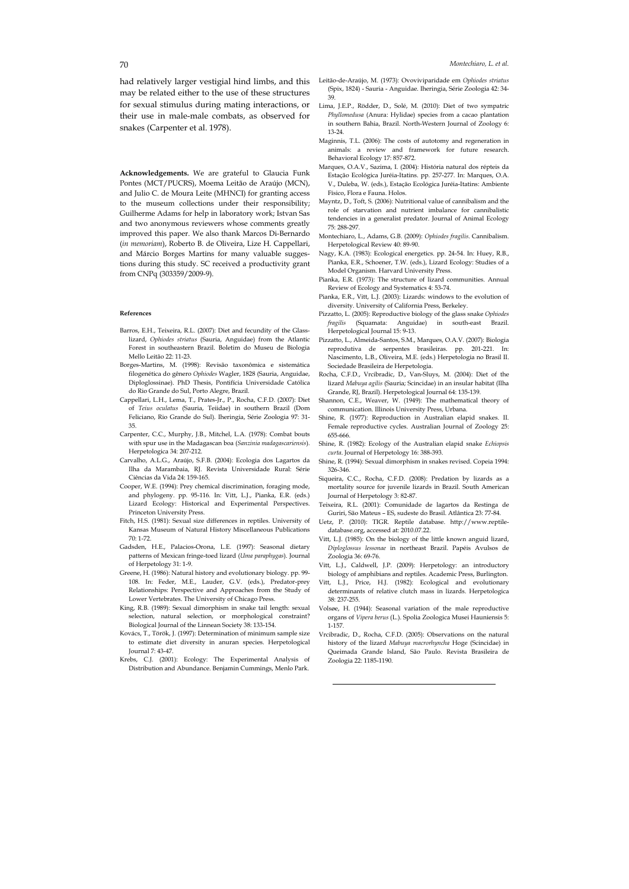**Acknowledgements.** We are grateful to Glaucia Funk Pontes (MCT/PUCRS), Moema Leitão de Araújo (MCN), and Julio C. de Moura Leite (MHNCI) for granting access to the museum collections under their responsibility; Guilherme Adams for help in laboratory work; Istvan Sas and two anonymous reviewers whose comments greatly improved this paper. We also thank Marcos Di-Bernardo (*in memoriam*), Roberto B. de Oliveira, Lize H. Cappellari, and Márcio Borges Martins for many valuable suggestions during this study. SC received a productivity grant from CNPq (303359/2009-9).

#### **References**

- Barros, E.H., Teixeira, R.L. (2007): Diet and fecundity of the Glasslizard, *Ophiodes striatus* (Sauria, Anguidae) from the Atlantic Forest in southeastern Brazil. Boletim do Museu de Biologia Mello Leitão 22: 11-23.
- Borges-Martins, M. (1998): Revisão taxonômica e sistemática filogenética do gênero *Ophiodes* Wagler, 1828 (Sauria, Anguidae, Diploglossinae). PhD Thesis, Pontifícia Universidade Católica do Rio Grande do Sul, Porto Alegre, Brazil.
- Cappellari, L.H., Lema, T., Prates-Jr., P., Rocha, C.F.D. (2007): Diet of *Teius oculatus* (Sauria, Teiidae) in southern Brazil (Dom Feliciano, Rio Grande do Sul). Iheringia, Série Zoologia 97: 31- 35.
- Carpenter, C.C., Murphy, J.B., Mitchel, L.A. (1978): Combat bouts with spur use in the Madagascan boa (*Sanzinia madagascariensis*). Herpetologica 34: 207-212.
- Carvalho, A.L.G., Araújo, S.F.B. (2004): Ecologia dos Lagartos da Ilha da Marambaia, RJ. Revista Universidade Rural: Série Ciências da Vida 24: 159-165.
- Cooper, W.E. (1994): Prey chemical discrimination, foraging mode, and phylogeny. pp. 95-116*.* In: Vitt, L.J., Pianka, E.R. (eds.) Lizard Ecology: Historical and Experimental Perspectives. Princeton University Press.
- Fitch, H.S. (1981): Sexual size differences in reptiles. University of Kansas Museum of Natural History Miscellaneous Publications 70: 1-72.
- Gadsden, H.E., Palacios-Orona, L.E. (1997): Seasonal dietary patterns of Mexican fringe-toed lizard (*Uma paraphygas*). Journal of Herpetology 31: 1-9.
- Greene, H. (1986): Natural history and evolutionary biology. pp. 99- 108. In: Feder, M.E., Lauder, G.V. (eds.), Predator-prey Relationships: Perspective and Approaches from the Study of Lower Vertebrates. The University of Chicago Press.
- King, R.B. (1989): Sexual dimorphism in snake tail length: sexual selection, natural selection, or morphological constraint? Biological Journal of the Linnean Society 38: 133-154.
- Kovács, T., Török, J. (1997): Determination of minimum sample size to estimate diet diversity in anuran species. Herpetological Journal 7: 43-47.
- Krebs, C.J. (2001): Ecology: The Experimental Analysis of Distribution and Abundance. Benjamin Cummings, Menlo Park.
- Leitão-de-Araújo, M. (1973): Ovoviviparidade em *Ophiodes striatus*  (Spix, 1824) - Sauria - Anguidae. Iheringia, Série Zoologia 42: 34- 39.
- Lima, J.E.P., Rödder, D., Solé, M. (2010): Diet of two sympatric *Phyllomedusa* (Anura: Hylidae) species from a cacao plantation in southern Bahia, Brazil. North-Western Journal of Zoology 6: 13-24.
- Maginnis, T.L. (2006): The costs of autotomy and regeneration in animals: a review and framework for future research. Behavioral Ecology 17: 857-872.
- Marques, O.A.V., Sazima, I. (2004): História natural dos répteis da Estação Ecológica Juréia-Itatins. pp. 257-277. In: Marques, O.A. V., Duleba, W. (eds.), Estação Ecológica Juréia-Itatins: Ambiente Físico, Flora e Fauna. Holos.
- Mayntz, D., Toft, S. (2006): Nutritional value of cannibalism and the role of starvation and nutrient imbalance for cannibalistic tendencies in a generalist predator. Journal of Animal Ecology 75: 288-297.
- Montechiaro, L., Adams, G.B. (2009): *Ophiodes fragilis*. Cannibalism. Herpetological Review 40: 89-90.
- Nagy, K.A. (1983): Ecological energetics. pp. 24-54. In: Huey, R.B., Pianka, E.R., Schoener, T.W. (eds.), Lizard Ecology: Studies of a Model Organism. Harvard University Press.
- Pianka, E.R. (1973): The structure of lizard communities. Annual Review of Ecology and Systematics 4: 53-74.
- Pianka, E.R., Vitt, L.J. (2003): Lizards: windows to the evolution of diversity. University of California Press, Berkeley.
- Pizzatto, L. (2005): Reproductive biology of the glass snake *Ophiodes fragilis* (Squamata: Anguidae) in south-east Brazil. Herpetological Journal 15: 9-13.
- Pizzatto, L., Almeida-Santos, S.M., Marques, O.A.V. (2007): Biologia reprodutiva de serpentes brasileiras. pp. 201-221. In: Nascimento, L.B., Oliveira, M.E. (eds.) Herpetologia no Brasil II. Sociedade Brasileira de Herpetologia.
- Rocha, C.F.D., Vrcibradic, D., Van-Sluys, M. (2004): Diet of the lizard *Mabuya agilis* (Sauria; Scincidae) in an insular habitat (Ilha Grande, RJ, Brazil). Herpetological Journal 64: 135-139.
- Shannon, C.E., Weaver, W. (1949): The mathematical theory of communication. Illinois University Press, Urbana.
- Shine, R. (1977): Reproduction in Australian elapid snakes. II. Female reproductive cycles. Australian Journal of Zoology 25: 655-666.
- Shine, R. (1982): Ecology of the Australian elapid snake *Echiopsis curta*. Journal of Herpetology 16: 388-393.
- Shine, R. (1994): Sexual dimorphism in snakes revised. Copeia 1994: 326-346.
- Siqueira, C.C., Rocha, C.F.D. (2008): Predation by lizards as a mortality source for juvenile lizards in Brazil. South American Journal of Herpetology 3: 82-87.
- Teixeira, R.L. (2001): Comunidade de lagartos da Restinga de Guriri, São Mateus – ES, sudeste do Brasil. Atlântica 23: 77-84.
- Uetz, P. (2010): TIGR. Reptile database. http://www.reptiledatabase.org, accessed at: 2010.07.22.
- Vitt, L.J. (1985): On the biology of the little known anguid lizard, *Diploglossus lessonae* in northeast Brazil. Papéis Avulsos de Zoologia 36: 69-76.
- Vitt, L.J., Caldwell, J.P. (2009): Herpetology: an introductory biology of amphibians and reptiles. Academic Press, Burlington.
- Vitt, L.J., Price, H.J. (1982): Ecological and evolutionary determinants of relative clutch mass in lizards. Herpetologica 38: 237-255.
- Volsøe, H. (1944): Seasonal variation of the male reproductive organs of *Vipera berus* (L.). Spolia Zoologica Musei Hauniensis 5: 1-157.
- Vrcibradic, D., Rocha, C.F.D. (2005): Observations on the natural history of the lizard *Mabuya macrorhyncha* Hoge (Scincidae) in Queimada Grande Island, São Paulo. Revista Brasileira de Zoologia 22: 1185-1190.